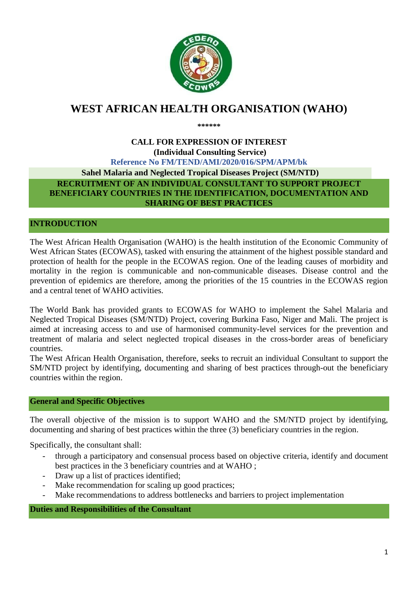

# **WEST AFRICAN HEALTH ORGANISATION (WAHO)**

**\*\*\*\*\*\***

## **CALL FOR EXPRESSION OF INTEREST (Individual Consulting Service) Reference No FM/TEND/AMI/2020/016/SPM/APM/bk Sahel Malaria and Neglected Tropical Diseases Project (SM/NTD) RECRUITMENT OF AN INDIVIDUAL CONSULTANT TO SUPPORT PROJECT BENEFICIARY COUNTRIES IN THE IDENTIFICATION, DOCUMENTATION AND SHARING OF BEST PRACTICES**

## **INTRODUCTION**

The West African Health Organisation (WAHO) is the health institution of the Economic Community of West African States (ECOWAS), tasked with ensuring the attainment of the highest possible standard and protection of health for the people in the ECOWAS region. One of the leading causes of morbidity and mortality in the region is communicable and non-communicable diseases. Disease control and the prevention of epidemics are therefore, among the priorities of the 15 countries in the ECOWAS region and a central tenet of WAHO activities.

The World Bank has provided grants to ECOWAS for WAHO to implement the Sahel Malaria and Neglected Tropical Diseases (SM/NTD) Project, covering Burkina Faso, Niger and Mali. The project is aimed at increasing access to and use of harmonised community-level services for the prevention and treatment of malaria and select neglected tropical diseases in the cross-border areas of beneficiary countries.

The West African Health Organisation, therefore, seeks to recruit an individual Consultant to support the SM/NTD project by identifying, documenting and sharing of best practices through-out the beneficiary countries within the region.

### **General and Specific Objectives**

The overall objective of the mission is to support WAHO and the SM/NTD project by identifying, documenting and sharing of best practices within the three (3) beneficiary countries in the region.

Specifically, the consultant shall:

- through a participatory and consensual process based on objective criteria, identify and document best practices in the 3 beneficiary countries and at WAHO ;
- Draw up a list of practices identified;
- Make recommendation for scaling up good practices;
- Make recommendations to address bottlenecks and barriers to project implementation

**Duties and Responsibilities of the Consultant**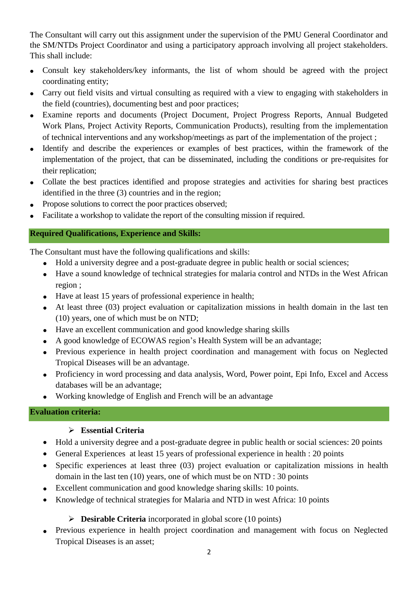The Consultant will carry out this assignment under the supervision of the PMU General Coordinator and the SM/NTDs Project Coordinator and using a participatory approach involving all project stakeholders. This shall include:

- Consult key stakeholders/key informants, the list of whom should be agreed with the project coordinating entity;
- Carry out field visits and virtual consulting as required with a view to engaging with stakeholders in the field (countries), documenting best and poor practices;
- Examine reports and documents (Project Document, Project Progress Reports, Annual Budgeted Work Plans, Project Activity Reports, Communication Products), resulting from the implementation of technical interventions and any workshop/meetings as part of the implementation of the project ;
- Identify and describe the experiences or examples of best practices, within the framework of the implementation of the project, that can be disseminated, including the conditions or pre-requisites for their replication;
- Collate the best practices identified and propose strategies and activities for sharing best practices identified in the three (3) countries and in the region;
- Propose solutions to correct the poor practices observed;
- Facilitate a workshop to validate the report of the consulting mission if required.

### **Required Qualifications, Experience and Skills:**

The Consultant must have the following qualifications and skills:

- Hold a university degree and a post-graduate degree in public health or social sciences;
- Have a sound knowledge of technical strategies for malaria control and NTDs in the West African region ;
- Have at least 15 years of professional experience in health;
- At least three (03) project evaluation or capitalization missions in health domain in the last ten (10) years, one of which must be on NTD;
- Have an excellent communication and good knowledge sharing skills
- A good knowledge of ECOWAS region's Health System will be an advantage;
- Previous experience in health project coordination and management with focus on Neglected Tropical Diseases will be an advantage.
- Proficiency in word processing and data analysis, Word, Power point, Epi Info, Excel and Access databases will be an advantage;
- Working knowledge of English and French will be an advantage

### **Evaluation criteria:**

### **Essential Criteria**

- Hold a university degree and a post-graduate degree in public health or social sciences: 20 points
- General Experiences at least 15 years of professional experience in health : 20 points
- Specific experiences at least three (03) project evaluation or capitalization missions in health domain in the last ten (10) years, one of which must be on NTD : 30 points
- Excellent communication and good knowledge sharing skills: 10 points.
- Knowledge of technical strategies for Malaria and NTD in west Africa: 10 points

## **Desirable Criteria** incorporated in global score (10 points)

 Previous experience in health project coordination and management with focus on Neglected Tropical Diseases is an asset;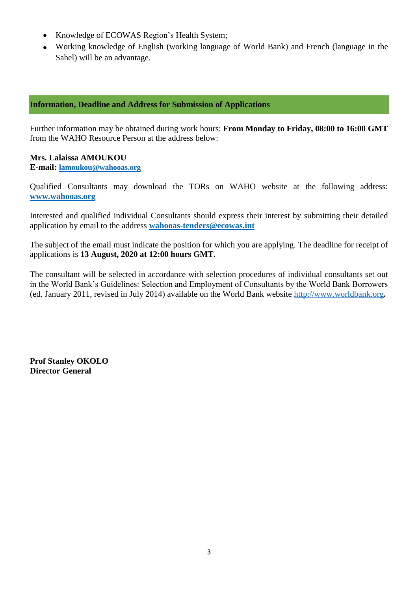- Knowledge of ECOWAS Region's Health System;
- Working knowledge of English (working language of World Bank) and French (language in the Sahel) will be an advantage.

### **Information, Deadline and Address for Submission of Applications**

Further information may be obtained during work hours: **From Monday to Friday, 08:00 to 16:00 GMT**  from the WAHO Resource Person at the address below:

### **Mrs. Lalaissa AMOUKOU**

**E-mail: lamoukou@wahooas.org**

Qualified Consultants may download the TORs on WAHO website at the following address: **[www.wahooas.org](http://www.wahooas.org/)** 

Interested and qualified individual Consultants should express their interest by submitting their detailed application by email to the address **wahooas-tenders@ecowas.int** 

The subject of the email must indicate the position for which you are applying. The deadline for receipt of applications is **13 August, 2020 at 12:00 hours GMT.**

The consultant will be selected in accordance with selection procedures of individual consultants set out in the World Bank's Guidelines: Selection and Employment of Consultants by the World Bank Borrowers (ed. January 2011, revised in July 2014) available on the World Bank website [http://www.worldbank.org](http://www.worldbank.org/)**.**

**Prof Stanley OKOLO Director General**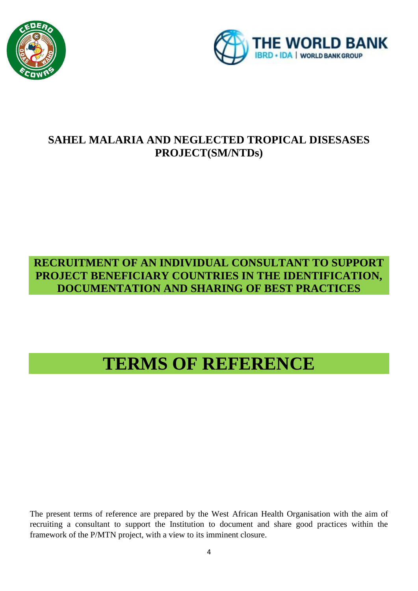



# **SAHEL MALARIA AND NEGLECTED TROPICAL DISESASES PROJECT(SM/NTDs)**

# **RECRUITMENT OF AN INDIVIDUAL CONSULTANT TO SUPPORT PROJECT BENEFICIARY COUNTRIES IN THE IDENTIFICATION, DOCUMENTATION AND SHARING OF BEST PRACTICES**

# **TERMS OF REFERENCE**

The present terms of reference are prepared by the West African Health Organisation with the aim of recruiting a consultant to support the Institution to document and share good practices within the framework of the P/MTN project, with a view to its imminent closure.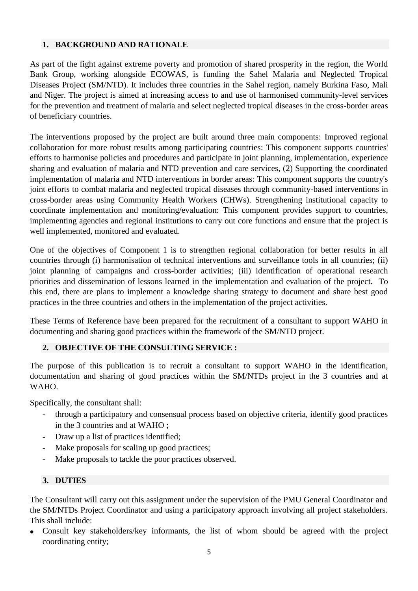### **1. BACKGROUND AND RATIONALE**

As part of the fight against extreme poverty and promotion of shared prosperity in the region, the World Bank Group, working alongside ECOWAS, is funding the Sahel Malaria and Neglected Tropical Diseases Project (SM/NTD). It includes three countries in the Sahel region, namely Burkina Faso, Mali and Niger. The project is aimed at increasing access to and use of harmonised community-level services for the prevention and treatment of malaria and select neglected tropical diseases in the cross-border areas of beneficiary countries.

The interventions proposed by the project are built around three main components: Improved regional collaboration for more robust results among participating countries: This component supports countries' efforts to harmonise policies and procedures and participate in joint planning, implementation, experience sharing and evaluation of malaria and NTD prevention and care services, (2) Supporting the coordinated implementation of malaria and NTD interventions in border areas: This component supports the country's joint efforts to combat malaria and neglected tropical diseases through community-based interventions in cross-border areas using Community Health Workers (CHWs). Strengthening institutional capacity to coordinate implementation and monitoring/evaluation: This component provides support to countries, implementing agencies and regional institutions to carry out core functions and ensure that the project is well implemented, monitored and evaluated.

One of the objectives of Component 1 is to strengthen regional collaboration for better results in all countries through (i) harmonisation of technical interventions and surveillance tools in all countries; (ii) joint planning of campaigns and cross-border activities; (iii) identification of operational research priorities and dissemination of lessons learned in the implementation and evaluation of the project. To this end, there are plans to implement a knowledge sharing strategy to document and share best good practices in the three countries and others in the implementation of the project activities.

These Terms of Reference have been prepared for the recruitment of a consultant to support WAHO in documenting and sharing good practices within the framework of the SM/NTD project.

### **2. OBJECTIVE OF THE CONSULTING SERVICE :**

The purpose of this publication is to recruit a consultant to support WAHO in the identification, documentation and sharing of good practices within the SM/NTDs project in the 3 countries and at WAHO.

Specifically, the consultant shall:

- through a participatory and consensual process based on objective criteria, identify good practices in the 3 countries and at WAHO ;
- Draw up a list of practices identified;
- Make proposals for scaling up good practices;
- Make proposals to tackle the poor practices observed.

### **3. DUTIES**

The Consultant will carry out this assignment under the supervision of the PMU General Coordinator and the SM/NTDs Project Coordinator and using a participatory approach involving all project stakeholders. This shall include:

 Consult key stakeholders/key informants, the list of whom should be agreed with the project coordinating entity;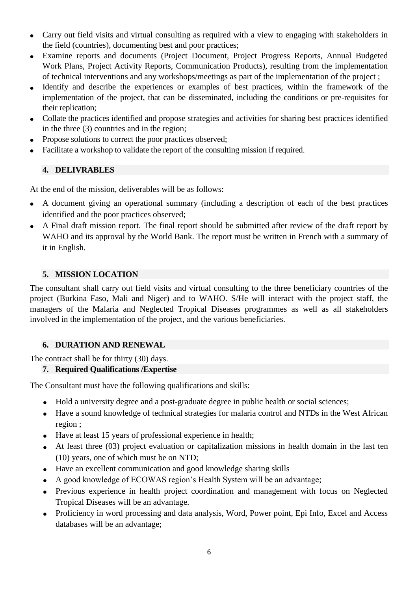- Carry out field visits and virtual consulting as required with a view to engaging with stakeholders in the field (countries), documenting best and poor practices;
- Examine reports and documents (Project Document, Project Progress Reports, Annual Budgeted Work Plans, Project Activity Reports, Communication Products), resulting from the implementation of technical interventions and any workshops/meetings as part of the implementation of the project ;
- Identify and describe the experiences or examples of best practices, within the framework of the implementation of the project, that can be disseminated, including the conditions or pre-requisites for their replication;
- Collate the practices identified and propose strategies and activities for sharing best practices identified in the three (3) countries and in the region;
- Propose solutions to correct the poor practices observed;
- Facilitate a workshop to validate the report of the consulting mission if required.

### **4. DELIVRABLES**

At the end of the mission, deliverables will be as follows:

- A document giving an operational summary (including a description of each of the best practices identified and the poor practices observed;
- A Final draft mission report. The final report should be submitted after review of the draft report by WAHO and its approval by the World Bank. The report must be written in French with a summary of it in English.

### **5. MISSION LOCATION**

The consultant shall carry out field visits and virtual consulting to the three beneficiary countries of the project (Burkina Faso, Mali and Niger) and to WAHO. S/He will interact with the project staff, the managers of the Malaria and Neglected Tropical Diseases programmes as well as all stakeholders involved in the implementation of the project, and the various beneficiaries.

### **6. DURATION AND RENEWAL**

The contract shall be for thirty (30) days.

### **7. Required Qualifications /Expertise**

The Consultant must have the following qualifications and skills:

- Hold a university degree and a post-graduate degree in public health or social sciences;
- Have a sound knowledge of technical strategies for malaria control and NTDs in the West African region ;
- Have at least 15 years of professional experience in health;
- At least three (03) project evaluation or capitalization missions in health domain in the last ten (10) years, one of which must be on NTD;
- Have an excellent communication and good knowledge sharing skills
- A good knowledge of ECOWAS region's Health System will be an advantage;
- Previous experience in health project coordination and management with focus on Neglected Tropical Diseases will be an advantage.
- Proficiency in word processing and data analysis, Word, Power point, Epi Info, Excel and Access databases will be an advantage;